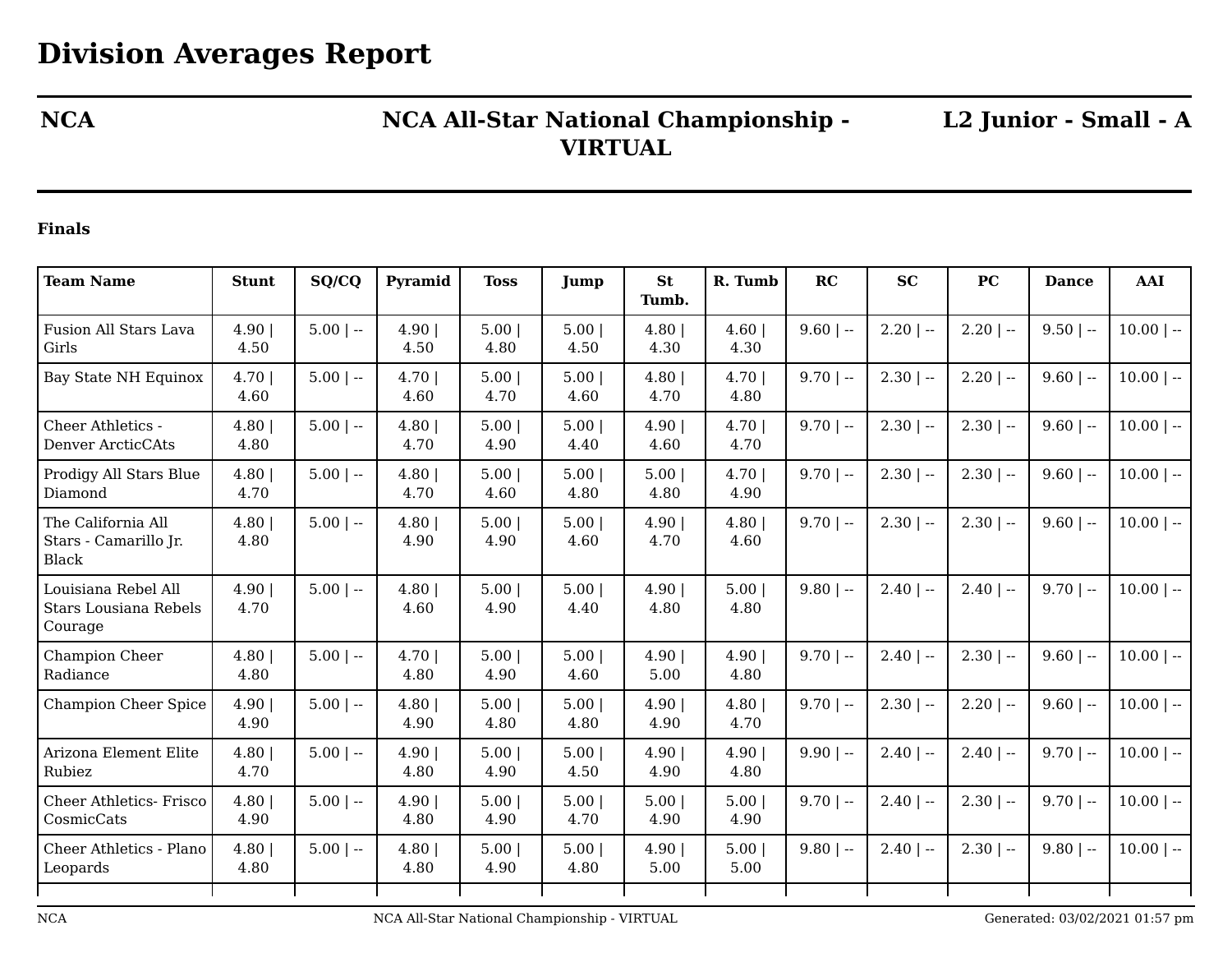## **NCA NCA All-Star National Championship - VIRTUAL**

**L2 Junior - Small - A**

## **Finals**

| <b>Team Name</b>                                            | <b>Stunt</b>     | SQ/CQ       | Pyramid          | <b>Toss</b>  | Jump             | <b>St</b><br>Tumb. | R. Tumb      | RC          | <b>SC</b>    | PC           | <b>Dance</b> | <b>AAI</b>   |
|-------------------------------------------------------------|------------------|-------------|------------------|--------------|------------------|--------------------|--------------|-------------|--------------|--------------|--------------|--------------|
| Fusion All Stars Lava<br>Girls                              | 4.90 <br>4.50    | $5.00$   -- | 4.90<br>4.50     | 5.00<br>4.80 | 5.00<br>4.50     | 4.80<br>4.30       | 4.60<br>4.30 | $9.60$   -- | $2.20$   $-$ | $2.20$   --  | $9.50$   --  | $10.00$   -- |
| <b>Bay State NH Equinox</b>                                 | 4.70 <br>4.60    | $5.00$   -- | $4.70$  <br>4.60 | 5.00<br>4.70 | 5.00<br>4.60     | 4.80<br>4.70       | 4.70<br>4.80 | $9.70$   -- | $2.30$   $-$ | $2.20$   --  | $9.60$   --  | $10.00$   -- |
| Cheer Athletics -<br>Denver ArcticCAts                      | 4.80<br>4.80     | $5.00$   -- | 4.80<br>4.70     | 5.00<br>4.90 | 5.00<br>4.40     | 4.90<br>4.60       | 4.70<br>4.70 | $9.70$   -- | $2.30$   --  | $2.30$   --  | $9.60$   --  | $10.00$   -- |
| Prodigy All Stars Blue<br>Diamond                           | 4.80<br>4.70     | $5.00$   -- | 4.80<br>4.70     | 5.00<br>4.60 | 5.00<br>4.80     | 5.00<br>4.80       | 4.70<br>4.90 | $9.70$   -- | $2.30$   --  | $2.30$   --  | $9.60$   --  | $10.00$   -- |
| The California All<br>Stars - Camarillo Jr.<br><b>Black</b> | 4.80<br>4.80     | $5.00$   -- | 4.80<br>4.90     | 5.00<br>4.90 | 5.00<br>4.60     | 4.90<br>4.70       | 4.80<br>4.60 | $9.70$   -- | $2.30$   --  | $2.30$   --  | $9.60$   --  | $10.00$   -- |
| Louisiana Rebel All<br>Stars Lousiana Rebels<br>Courage     | 4.90 <br>4.70    | $5.00$   -- | 4.80<br>4.60     | 5.00<br>4.90 | $5.00$  <br>4.40 | 4.90<br>4.80       | 5.00<br>4.80 | $9.80$   -- | $2.40$   $-$ | $2.40$   --  | $9.70$   --  | $10.00$   -- |
| Champion Cheer<br>Radiance                                  | 4.80<br>4.80     | $5.00$   -- | $4.70$  <br>4.80 | 5.00<br>4.90 | 5.00<br>4.60     | 4.90<br>5.00       | 4.90<br>4.80 | $9.70$   -- | $2.40$   $-$ | $2.30$   --  | $9.60$   --  | $10.00$   -- |
| <b>Champion Cheer Spice</b>                                 | 4.90 <br>4.90    | $5.00$   -- | 4.80<br>4.90     | 5.00<br>4.80 | 5.00<br>4.80     | 4.90<br>4.90       | 4.80<br>4.70 | $9.70$   -- | $2.30$   --  | $2.20$   --  | $9.60$   --  | $10.00$   -- |
| Arizona Element Elite<br>Rubiez                             | 4.80<br>4.70     | $5.00$   -- | 4.90 <br>4.80    | 5.00<br>4.90 | 5.00<br>4.50     | 4.90<br>4.90       | 4.90<br>4.80 | $9.90$   -- | $2.40$   $-$ | $2.40$   $-$ | $9.70$   --  | $10.00$   -- |
| <b>Cheer Athletics- Frisco</b><br>CosmicCats                | 4.80<br>4.90     | $5.00$   -- | 4.90 <br>4.80    | 5.00<br>4.90 | 5.00<br>4.70     | 5.00<br>4.90       | 5.00<br>4.90 | $9.70$   -- | $2.40$   $-$ | $2.30$   --  | $9.70$   --  | $10.00$   -- |
| Cheer Athletics - Plano<br>Leopards                         | $4.80$  <br>4.80 | $5.00$   -- | 4.80<br>4.80     | 5.00<br>4.90 | 5.00<br>4.80     | 4.90<br>5.00       | 5.00<br>5.00 | $9.80$   -- | $2.40$   $-$ | $2.30$   --  | $9.80$   --  | $10.00$   -- |
|                                                             |                  |             |                  |              |                  |                    |              |             |              |              |              |              |